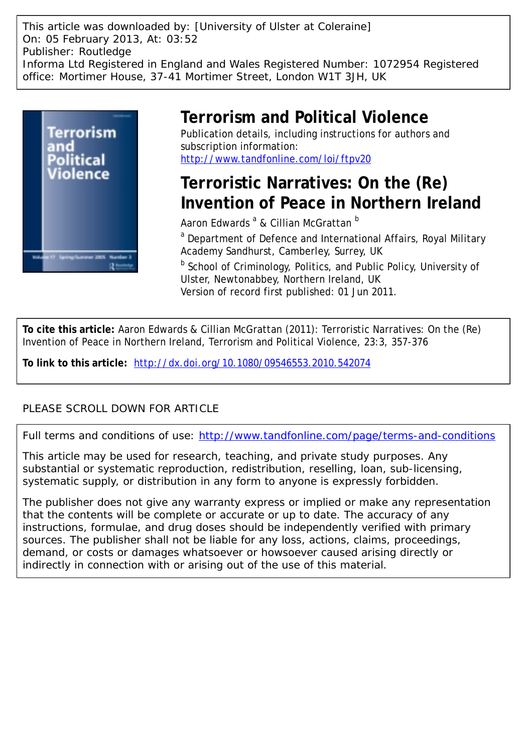This article was downloaded by: [University of Ulster at Coleraine] On: 05 February 2013, At: 03:52 Publisher: Routledge Informa Ltd Registered in England and Wales Registered Number: 1072954 Registered office: Mortimer House, 37-41 Mortimer Street, London W1T 3JH, UK



# **Terrorism and Political Violence**

Publication details, including instructions for authors and subscription information: <http://www.tandfonline.com/loi/ftpv20>

# **Terroristic Narratives: On the (Re) Invention of Peace in Northern Ireland**

Aaron Edwards <sup>a</sup> & Cillian McGrattan <sup>b</sup>

<sup>a</sup> Department of Defence and International Affairs, Royal Military Academy Sandhurst, Camberley, Surrey, UK

**b** School of Criminology, Politics, and Public Policy, University of Ulster, Newtonabbey, Northern Ireland, UK Version of record first published: 01 Jun 2011.

**To cite this article:** Aaron Edwards & Cillian McGrattan (2011): Terroristic Narratives: On the (Re) Invention of Peace in Northern Ireland, Terrorism and Political Violence, 23:3, 357-376

**To link to this article:** <http://dx.doi.org/10.1080/09546553.2010.542074>

### PLEASE SCROLL DOWN FOR ARTICLE

Full terms and conditions of use:<http://www.tandfonline.com/page/terms-and-conditions>

This article may be used for research, teaching, and private study purposes. Any substantial or systematic reproduction, redistribution, reselling, loan, sub-licensing, systematic supply, or distribution in any form to anyone is expressly forbidden.

The publisher does not give any warranty express or implied or make any representation that the contents will be complete or accurate or up to date. The accuracy of any instructions, formulae, and drug doses should be independently verified with primary sources. The publisher shall not be liable for any loss, actions, claims, proceedings, demand, or costs or damages whatsoever or howsoever caused arising directly or indirectly in connection with or arising out of the use of this material.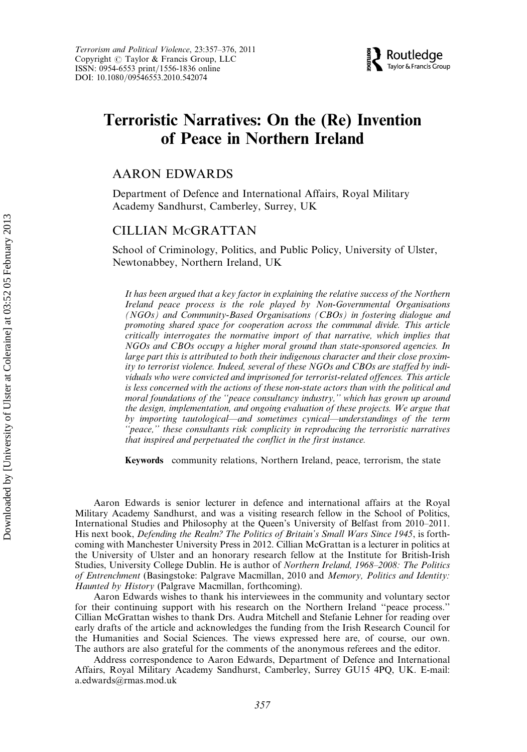

## Terroristic Narratives: On the (Re) Invention of Peace in Northern Ireland

#### AARON EDWARDS

Department of Defence and International Affairs, Royal Military Academy Sandhurst, Camberley, Surrey, UK

### CILLIAN MCGRATTAN

School of Criminology, Politics, and Public Policy, University of Ulster, Newtonabbey, Northern Ireland, UK

It has been argued that a key factor in explaining the relative success of the Northern Ireland peace process is the role played by Non-Governmental Organisations (NGOs) and Community-Based Organisations (CBOs) in fostering dialogue and promoting shared space for cooperation across the communal divide. This article critically interrogates the normative import of that narrative, which implies that NGOs and CBOs occupy a higher moral ground than state-sponsored agencies. In large part this is attributed to both their indigenous character and their close proximity to terrorist violence. Indeed, several of these NGOs and CBOs are staffed by individuals who were convicted and imprisoned for terrorist-related offences. This article is less concerned with the actions of these non-state actors than with the political and moral foundations of the ''peace consultancy industry,'' which has grown up around the design, implementation, and ongoing evaluation of these projects. We argue that by importing tautological—and sometimes cynical—understandings of the term "peace," these consultants risk complicity in reproducing the terroristic narratives that inspired and perpetuated the conflict in the first instance.

Keywords community relations, Northern Ireland, peace, terrorism, the state

Aaron Edwards is senior lecturer in defence and international affairs at the Royal Military Academy Sandhurst, and was a visiting research fellow in the School of Politics, International Studies and Philosophy at the Queen's University of Belfast from 2010–2011. His next book, Defending the Realm? The Politics of Britain's Small Wars Since 1945, is forthcoming with Manchester University Press in 2012. Cillian McGrattan is a lecturer in politics at the University of Ulster and an honorary research fellow at the Institute for British-Irish Studies, University College Dublin. He is author of Northern Ireland, 1968–2008: The Politics of Entrenchment (Basingstoke: Palgrave Macmillan, 2010 and Memory, Politics and Identity: Haunted by History (Palgrave Macmillan, forthcoming).

Aaron Edwards wishes to thank his interviewees in the community and voluntary sector for their continuing support with his research on the Northern Ireland ''peace process.'' Cillian McGrattan wishes to thank Drs. Audra Mitchell and Stefanie Lehner for reading over early drafts of the article and acknowledges the funding from the Irish Research Council for the Humanities and Social Sciences. The views expressed here are, of course, our own. The authors are also grateful for the comments of the anonymous referees and the editor.

Address correspondence to Aaron Edwards, Department of Defence and International Affairs, Royal Military Academy Sandhurst, Camberley, Surrey GU15 4PQ, UK. E-mail: a.edwards@rmas.mod.uk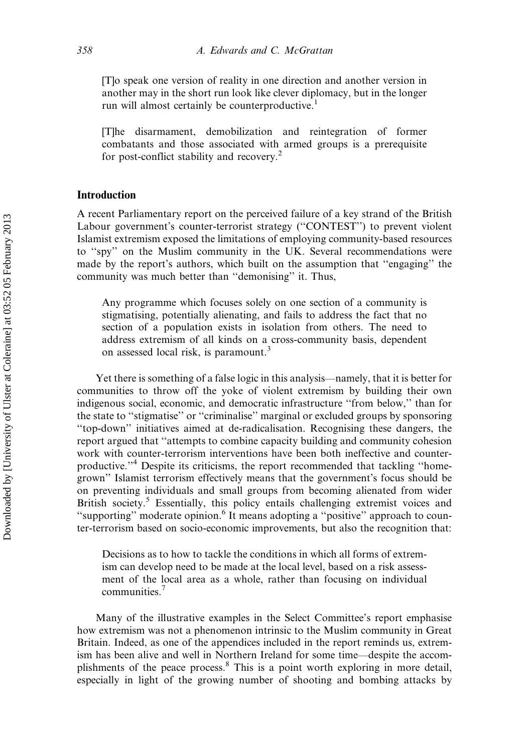[T]o speak one version of reality in one direction and another version in another may in the short run look like clever diplomacy, but in the longer run will almost certainly be counterproductive.<sup>1</sup>

[T]he disarmament, demobilization and reintegration of former combatants and those associated with armed groups is a prerequisite for post-conflict stability and recovery.<sup>2</sup>

#### Introduction

A recent Parliamentary report on the perceived failure of a key strand of the British Labour government's counter-terrorist strategy (''CONTEST'') to prevent violent Islamist extremism exposed the limitations of employing community-based resources to ''spy'' on the Muslim community in the UK. Several recommendations were made by the report's authors, which built on the assumption that ''engaging'' the community was much better than ''demonising'' it. Thus,

Any programme which focuses solely on one section of a community is stigmatising, potentially alienating, and fails to address the fact that no section of a population exists in isolation from others. The need to address extremism of all kinds on a cross-community basis, dependent on assessed local risk, is paramount.<sup>3</sup>

Yet there is something of a false logic in this analysis—namely, that it is better for communities to throw off the yoke of violent extremism by building their own indigenous social, economic, and democratic infrastructure ''from below,'' than for the state to ''stigmatise'' or ''criminalise'' marginal or excluded groups by sponsoring ''top-down'' initiatives aimed at de-radicalisation. Recognising these dangers, the report argued that ''attempts to combine capacity building and community cohesion work with counter-terrorism interventions have been both ineffective and counterproductive.''<sup>4</sup> Despite its criticisms, the report recommended that tackling ''homegrown'' Islamist terrorism effectively means that the government's focus should be on preventing individuals and small groups from becoming alienated from wider British society.<sup>5</sup> Essentially, this policy entails challenging extremist voices and "supporting" moderate opinion.<sup>6</sup> It means adopting a "positive" approach to counter-terrorism based on socio-economic improvements, but also the recognition that:

Decisions as to how to tackle the conditions in which all forms of extremism can develop need to be made at the local level, based on a risk assessment of the local area as a whole, rather than focusing on individual communities.<sup>7</sup>

Many of the illustrative examples in the Select Committee's report emphasise how extremism was not a phenomenon intrinsic to the Muslim community in Great Britain. Indeed, as one of the appendices included in the report reminds us, extremism has been alive and well in Northern Ireland for some time—despite the accomplishments of the peace process.<sup>8</sup> This is a point worth exploring in more detail, especially in light of the growing number of shooting and bombing attacks by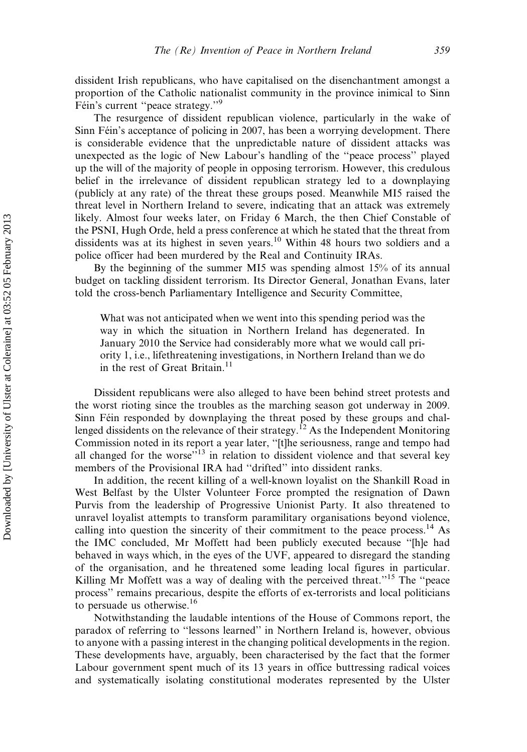dissident Irish republicans, who have capitalised on the disenchantment amongst a proportion of the Catholic nationalist community in the province inimical to Sinn Féin's current "peace strategy."<sup>9</sup>

The resurgence of dissident republican violence, particularly in the wake of Sinn Féin's acceptance of policing in 2007, has been a worrying development. There is considerable evidence that the unpredictable nature of dissident attacks was unexpected as the logic of New Labour's handling of the ''peace process'' played up the will of the majority of people in opposing terrorism. However, this credulous belief in the irrelevance of dissident republican strategy led to a downplaying (publicly at any rate) of the threat these groups posed. Meanwhile MI5 raised the threat level in Northern Ireland to severe, indicating that an attack was extremely likely. Almost four weeks later, on Friday 6 March, the then Chief Constable of the PSNI, Hugh Orde, held a press conference at which he stated that the threat from dissidents was at its highest in seven years.<sup>10</sup> Within 48 hours two soldiers and a police officer had been murdered by the Real and Continuity IRAs.

By the beginning of the summer MI5 was spending almost 15% of its annual budget on tackling dissident terrorism. Its Director General, Jonathan Evans, later told the cross-bench Parliamentary Intelligence and Security Committee,

What was not anticipated when we went into this spending period was the way in which the situation in Northern Ireland has degenerated. In January 2010 the Service had considerably more what we would call priority 1, i.e., lifethreatening investigations, in Northern Ireland than we do in the rest of Great Britain.<sup>11</sup>

Dissident republicans were also alleged to have been behind street protests and the worst rioting since the troubles as the marching season got underway in 2009. Sinn Féin responded by downplaying the threat posed by these groups and challenged dissidents on the relevance of their strategy.<sup>12</sup> As the Independent Monitoring Commission noted in its report a year later, ''[t]he seriousness, range and tempo had all changed for the worse $^{13}$  in relation to dissident violence and that several key members of the Provisional IRA had ''drifted'' into dissident ranks.

In addition, the recent killing of a well-known loyalist on the Shankill Road in West Belfast by the Ulster Volunteer Force prompted the resignation of Dawn Purvis from the leadership of Progressive Unionist Party. It also threatened to unravel loyalist attempts to transform paramilitary organisations beyond violence, calling into question the sincerity of their commitment to the peace process.<sup>14</sup> As the IMC concluded, Mr Moffett had been publicly executed because ''[h]e had behaved in ways which, in the eyes of the UVF, appeared to disregard the standing of the organisation, and he threatened some leading local figures in particular. Killing Mr Moffett was a way of dealing with the perceived threat."<sup>15</sup> The "peace process'' remains precarious, despite the efforts of ex-terrorists and local politicians to persuade us otherwise.<sup>16</sup>

Notwithstanding the laudable intentions of the House of Commons report, the paradox of referring to ''lessons learned'' in Northern Ireland is, however, obvious to anyone with a passing interest in the changing political developments in the region. These developments have, arguably, been characterised by the fact that the former Labour government spent much of its 13 years in office buttressing radical voices and systematically isolating constitutional moderates represented by the Ulster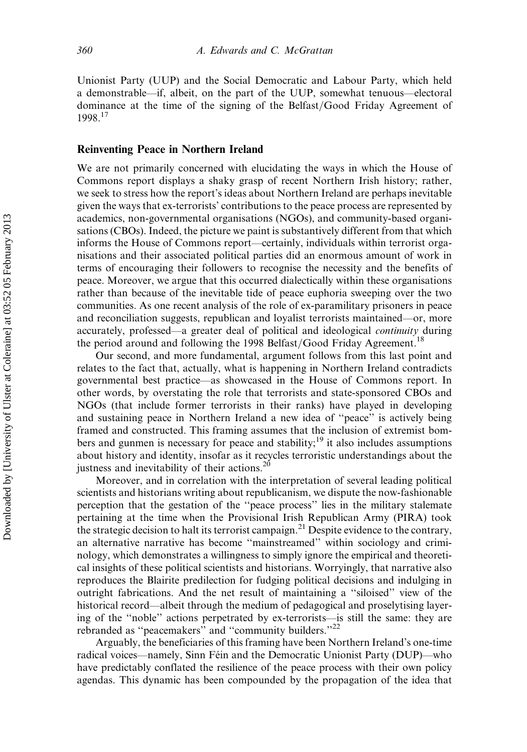Unionist Party (UUP) and the Social Democratic and Labour Party, which held a demonstrable—if, albeit, on the part of the UUP, somewhat tenuous—electoral dominance at the time of the signing of the Belfast/Good Friday Agreement of 1998.<sup>17</sup>

#### Reinventing Peace in Northern Ireland

We are not primarily concerned with elucidating the ways in which the House of Commons report displays a shaky grasp of recent Northern Irish history; rather, we seek to stress how the report's ideas about Northern Ireland are perhaps inevitable given the ways that ex-terrorists' contributions to the peace process are represented by academics, non-governmental organisations (NGOs), and community-based organisations (CBOs). Indeed, the picture we paint is substantively different from that which informs the House of Commons report—certainly, individuals within terrorist organisations and their associated political parties did an enormous amount of work in terms of encouraging their followers to recognise the necessity and the benefits of peace. Moreover, we argue that this occurred dialectically within these organisations rather than because of the inevitable tide of peace euphoria sweeping over the two communities. As one recent analysis of the role of ex-paramilitary prisoners in peace and reconciliation suggests, republican and loyalist terrorists maintained—or, more accurately, professed—a greater deal of political and ideological continuity during the period around and following the 1998 Belfast/Good Friday Agreement.<sup>18</sup>

Our second, and more fundamental, argument follows from this last point and relates to the fact that, actually, what is happening in Northern Ireland contradicts governmental best practice—as showcased in the House of Commons report. In other words, by overstating the role that terrorists and state-sponsored CBOs and NGOs (that include former terrorists in their ranks) have played in developing and sustaining peace in Northern Ireland a new idea of ''peace'' is actively being framed and constructed. This framing assumes that the inclusion of extremist bombers and gunmen is necessary for peace and stability;<sup>19</sup> it also includes assumptions about history and identity, insofar as it recycles terroristic understandings about the justness and inevitability of their actions.<sup>20</sup>

Moreover, and in correlation with the interpretation of several leading political scientists and historians writing about republicanism, we dispute the now-fashionable perception that the gestation of the ''peace process'' lies in the military stalemate pertaining at the time when the Provisional Irish Republican Army (PIRA) took the strategic decision to halt its terrorist campaign.<sup>21</sup> Despite evidence to the contrary, an alternative narrative has become ''mainstreamed'' within sociology and criminology, which demonstrates a willingness to simply ignore the empirical and theoretical insights of these political scientists and historians. Worryingly, that narrative also reproduces the Blairite predilection for fudging political decisions and indulging in outright fabrications. And the net result of maintaining a ''siloised'' view of the historical record—albeit through the medium of pedagogical and proselytising layering of the ''noble'' actions perpetrated by ex-terrorists—is still the same: they are rebranded as "peacemakers" and "community builders."<sup>22</sup>

Arguably, the beneficiaries of this framing have been Northern Ireland's one-time radical voices—namely, Sinn Féin and the Democratic Unionist Party (DUP)—who have predictably conflated the resilience of the peace process with their own policy agendas. This dynamic has been compounded by the propagation of the idea that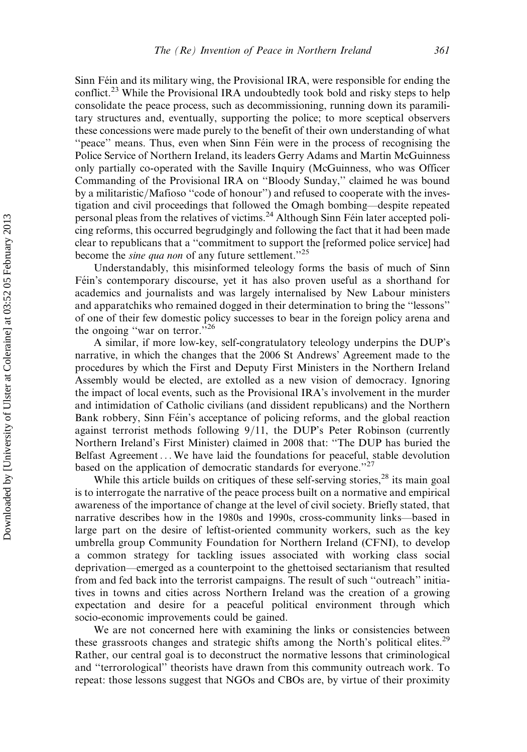Sinn Féin and its military wing, the Provisional IRA, were responsible for ending the conflict.<sup>23</sup> While the Provisional IRA undoubtedly took bold and risky steps to help consolidate the peace process, such as decommissioning, running down its paramilitary structures and, eventually, supporting the police; to more sceptical observers these concessions were made purely to the benefit of their own understanding of what "peace" means. Thus, even when Sinn Féin were in the process of recognising the Police Service of Northern Ireland, its leaders Gerry Adams and Martin McGuinness only partially co-operated with the Saville Inquiry (McGuinness, who was Officer Commanding of the Provisional IRA on ''Bloody Sunday,'' claimed he was bound by a militaristic/Mafioso "code of honour") and refused to cooperate with the investigation and civil proceedings that followed the Omagh bombing—despite repeated personal pleas from the relatives of victims.<sup>24</sup> Although Sinn Féin later accepted policing reforms, this occurred begrudgingly and following the fact that it had been made clear to republicans that a ''commitment to support the [reformed police service] had become the *sine qua non* of any future settlement."<sup>25</sup>

Understandably, this misinformed teleology forms the basis of much of Sinn Féin's contemporary discourse, yet it has also proven useful as a shorthand for academics and journalists and was largely internalised by New Labour ministers and apparatchiks who remained dogged in their determination to bring the ''lessons'' of one of their few domestic policy successes to bear in the foreign policy arena and the ongoing "war on terror."<sup>526</sup>

A similar, if more low-key, self-congratulatory teleology underpins the DUP's narrative, in which the changes that the 2006 St Andrews' Agreement made to the procedures by which the First and Deputy First Ministers in the Northern Ireland Assembly would be elected, are extolled as a new vision of democracy. Ignoring the impact of local events, such as the Provisional IRA's involvement in the murder and intimidation of Catholic civilians (and dissident republicans) and the Northern Bank robbery, Sinn Féin's acceptance of policing reforms, and the global reaction against terrorist methods following  $9/11$ , the DUP's Peter Robinson (currently Northern Ireland's First Minister) claimed in 2008 that: ''The DUP has buried the Belfast Agreement ... We have laid the foundations for peaceful, stable devolution based on the application of democratic standards for everyone."<sup>27</sup>

While this article builds on critiques of these self-serving stories, $^{28}$  its main goal is to interrogate the narrative of the peace process built on a normative and empirical awareness of the importance of change at the level of civil society. Briefly stated, that narrative describes how in the 1980s and 1990s, cross-community links—based in large part on the desire of leftist-oriented community workers, such as the key umbrella group Community Foundation for Northern Ireland (CFNI), to develop a common strategy for tackling issues associated with working class social deprivation—emerged as a counterpoint to the ghettoised sectarianism that resulted from and fed back into the terrorist campaigns. The result of such ''outreach'' initiatives in towns and cities across Northern Ireland was the creation of a growing expectation and desire for a peaceful political environment through which socio-economic improvements could be gained.

We are not concerned here with examining the links or consistencies between these grassroots changes and strategic shifts among the North's political elites.<sup>29</sup> Rather, our central goal is to deconstruct the normative lessons that criminological and ''terrorological'' theorists have drawn from this community outreach work. To repeat: those lessons suggest that NGOs and CBOs are, by virtue of their proximity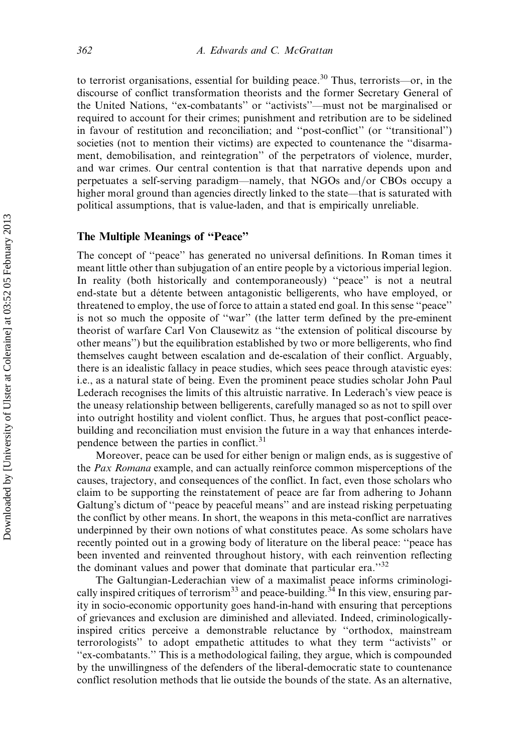to terrorist organisations, essential for building peace.<sup>30</sup> Thus, terrorists—or, in the discourse of conflict transformation theorists and the former Secretary General of the United Nations, ''ex-combatants'' or ''activists''—must not be marginalised or required to account for their crimes; punishment and retribution are to be sidelined in favour of restitution and reconciliation; and ''post-conflict'' (or ''transitional'') societies (not to mention their victims) are expected to countenance the ''disarmament, demobilisation, and reintegration'' of the perpetrators of violence, murder, and war crimes. Our central contention is that that narrative depends upon and perpetuates a self-serving paradigm—namely, that NGOs and/or CBOs occupy a higher moral ground than agencies directly linked to the state—that is saturated with political assumptions, that is value-laden, and that is empirically unreliable.

#### The Multiple Meanings of ''Peace''

The concept of ''peace'' has generated no universal definitions. In Roman times it meant little other than subjugation of an entire people by a victorious imperial legion. In reality (both historically and contemporaneously) ''peace'' is not a neutral end-state but a détente between antagonistic belligerents, who have employed, or threatened to employ, the use of force to attain a stated end goal. In this sense ''peace'' is not so much the opposite of ''war'' (the latter term defined by the pre-eminent theorist of warfare Carl Von Clausewitz as ''the extension of political discourse by other means'') but the equilibration established by two or more belligerents, who find themselves caught between escalation and de-escalation of their conflict. Arguably, there is an idealistic fallacy in peace studies, which sees peace through atavistic eyes: i.e., as a natural state of being. Even the prominent peace studies scholar John Paul Lederach recognises the limits of this altruistic narrative. In Lederach's view peace is the uneasy relationship between belligerents, carefully managed so as not to spill over into outright hostility and violent conflict. Thus, he argues that post-conflict peacebuilding and reconciliation must envision the future in a way that enhances interdependence between the parties in conflict.<sup>31</sup>

Moreover, peace can be used for either benign or malign ends, as is suggestive of the Pax Romana example, and can actually reinforce common misperceptions of the causes, trajectory, and consequences of the conflict. In fact, even those scholars who claim to be supporting the reinstatement of peace are far from adhering to Johann Galtung's dictum of ''peace by peaceful means'' and are instead risking perpetuating the conflict by other means. In short, the weapons in this meta-conflict are narratives underpinned by their own notions of what constitutes peace. As some scholars have recently pointed out in a growing body of literature on the liberal peace: ''peace has been invented and reinvented throughout history, with each reinvention reflecting the dominant values and power that dominate that particular era."<sup>32</sup>

The Galtungian-Lederachian view of a maximalist peace informs criminologically inspired critiques of terrorism<sup>33</sup> and peace-building.<sup>34</sup> In this view, ensuring parity in socio-economic opportunity goes hand-in-hand with ensuring that perceptions of grievances and exclusion are diminished and alleviated. Indeed, criminologicallyinspired critics perceive a demonstrable reluctance by ''orthodox, mainstream terrorologists'' to adopt empathetic attitudes to what they term ''activists'' or "ex-combatants." This is a methodological failing, they argue, which is compounded by the unwillingness of the defenders of the liberal-democratic state to countenance conflict resolution methods that lie outside the bounds of the state. As an alternative,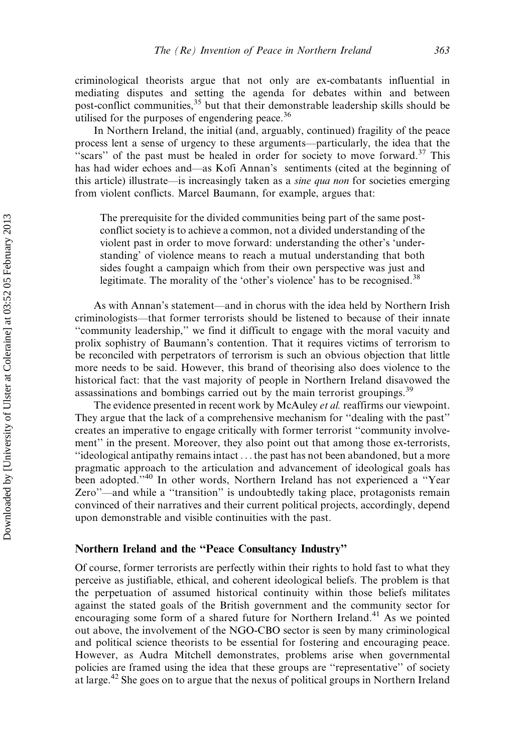criminological theorists argue that not only are ex-combatants influential in mediating disputes and setting the agenda for debates within and between post-conflict communities,<sup>35</sup> but that their demonstrable leadership skills should be utilised for the purposes of engendering peace.<sup>36</sup>

In Northern Ireland, the initial (and, arguably, continued) fragility of the peace process lent a sense of urgency to these arguments—particularly, the idea that the "scars" of the past must be healed in order for society to move forward. $37$  This has had wider echoes and—as Kofi Annan's sentiments (cited at the beginning of this article) illustrate—is increasingly taken as a sine qua non for societies emerging from violent conflicts. Marcel Baumann, for example, argues that:

The prerequisite for the divided communities being part of the same postconflict society is to achieve a common, not a divided understanding of the violent past in order to move forward: understanding the other's 'understanding' of violence means to reach a mutual understanding that both sides fought a campaign which from their own perspective was just and legitimate. The morality of the 'other's violence' has to be recognised.<sup>38</sup>

As with Annan's statement—and in chorus with the idea held by Northern Irish criminologists—that former terrorists should be listened to because of their innate ''community leadership,'' we find it difficult to engage with the moral vacuity and prolix sophistry of Baumann's contention. That it requires victims of terrorism to be reconciled with perpetrators of terrorism is such an obvious objection that little more needs to be said. However, this brand of theorising also does violence to the historical fact: that the vast majority of people in Northern Ireland disavowed the assassinations and bombings carried out by the main terrorist groupings.<sup>39</sup>

The evidence presented in recent work by McAuley et al. reaffirms our viewpoint. They argue that the lack of a comprehensive mechanism for ''dealing with the past'' creates an imperative to engage critically with former terrorist ''community involvement'' in the present. Moreover, they also point out that among those ex-terrorists, ''ideological antipathy remains intact ... the past has not been abandoned, but a more pragmatic approach to the articulation and advancement of ideological goals has been adopted."<sup>40</sup> In other words, Northern Ireland has not experienced a "Year Zero''—and while a ''transition'' is undoubtedly taking place, protagonists remain convinced of their narratives and their current political projects, accordingly, depend upon demonstrable and visible continuities with the past.

## Northern Ireland and the ''Peace Consultancy Industry''

Of course, former terrorists are perfectly within their rights to hold fast to what they perceive as justifiable, ethical, and coherent ideological beliefs. The problem is that the perpetuation of assumed historical continuity within those beliefs militates against the stated goals of the British government and the community sector for encouraging some form of a shared future for Northern Ireland.<sup>41</sup> As we pointed out above, the involvement of the NGO-CBO sector is seen by many criminological and political science theorists to be essential for fostering and encouraging peace. However, as Audra Mitchell demonstrates, problems arise when governmental policies are framed using the idea that these groups are ''representative'' of society at large.<sup>42</sup> She goes on to argue that the nexus of political groups in Northern Ireland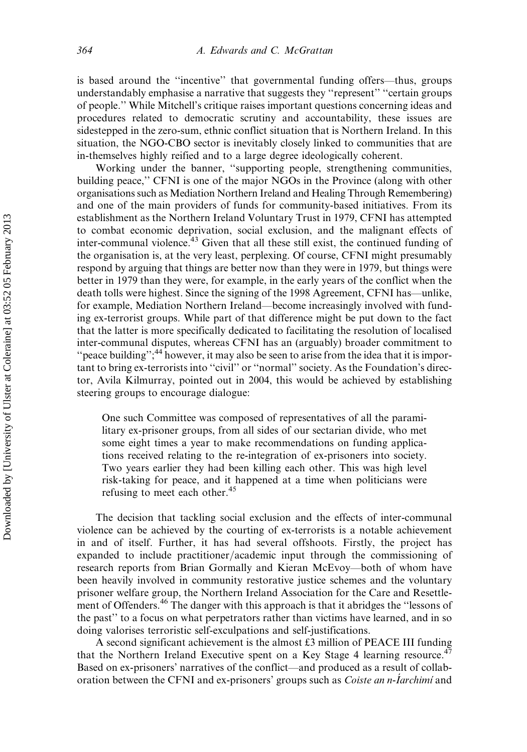is based around the ''incentive'' that governmental funding offers—thus, groups understandably emphasise a narrative that suggests they ''represent'' ''certain groups of people.'' While Mitchell's critique raises important questions concerning ideas and procedures related to democratic scrutiny and accountability, these issues are sidestepped in the zero-sum, ethnic conflict situation that is Northern Ireland. In this situation, the NGO-CBO sector is inevitably closely linked to communities that are in-themselves highly reified and to a large degree ideologically coherent.

Working under the banner, ''supporting people, strengthening communities, building peace,'' CFNI is one of the major NGOs in the Province (along with other organisations such as Mediation Northern Ireland and Healing Through Remembering) and one of the main providers of funds for community-based initiatives. From its establishment as the Northern Ireland Voluntary Trust in 1979, CFNI has attempted to combat economic deprivation, social exclusion, and the malignant effects of inter-communal violence.<sup>43</sup> Given that all these still exist, the continued funding of the organisation is, at the very least, perplexing. Of course, CFNI might presumably respond by arguing that things are better now than they were in 1979, but things were better in 1979 than they were, for example, in the early years of the conflict when the death tolls were highest. Since the signing of the 1998 Agreement, CFNI has—unlike, for example, Mediation Northern Ireland—become increasingly involved with funding ex-terrorist groups. While part of that difference might be put down to the fact that the latter is more specifically dedicated to facilitating the resolution of localised inter-communal disputes, whereas CFNI has an (arguably) broader commitment to "peace building";<sup>44</sup> however, it may also be seen to arise from the idea that it is important to bring ex-terrorists into ''civil'' or ''normal'' society. As the Foundation's director, Avila Kilmurray, pointed out in 2004, this would be achieved by establishing steering groups to encourage dialogue:

One such Committee was composed of representatives of all the paramilitary ex-prisoner groups, from all sides of our sectarian divide, who met some eight times a year to make recommendations on funding applications received relating to the re-integration of ex-prisoners into society. Two years earlier they had been killing each other. This was high level risk-taking for peace, and it happened at a time when politicians were refusing to meet each other.<sup>45</sup>

The decision that tackling social exclusion and the effects of inter-communal violence can be achieved by the courting of ex-terrorists is a notable achievement in and of itself. Further, it has had several offshoots. Firstly, the project has expanded to include practitioner/academic input through the commissioning of research reports from Brian Gormally and Kieran McEvoy—both of whom have been heavily involved in community restorative justice schemes and the voluntary prisoner welfare group, the Northern Ireland Association for the Care and Resettlement of Offenders.<sup>46</sup> The danger with this approach is that it abridges the "lessons of the past'' to a focus on what perpetrators rather than victims have learned, and in so doing valorises terroristic self-exculpations and self-justifications.

A second significant achievement is the almost £3 million of PEACE III funding that the Northern Ireland Executive spent on a Key Stage 4 learning resource.<sup>47</sup> Based on ex-prisoners' narratives of the conflict—and produced as a result of collaboration between the CFNI and ex-prisoners' groups such as *Coiste an n-Iarchimi* and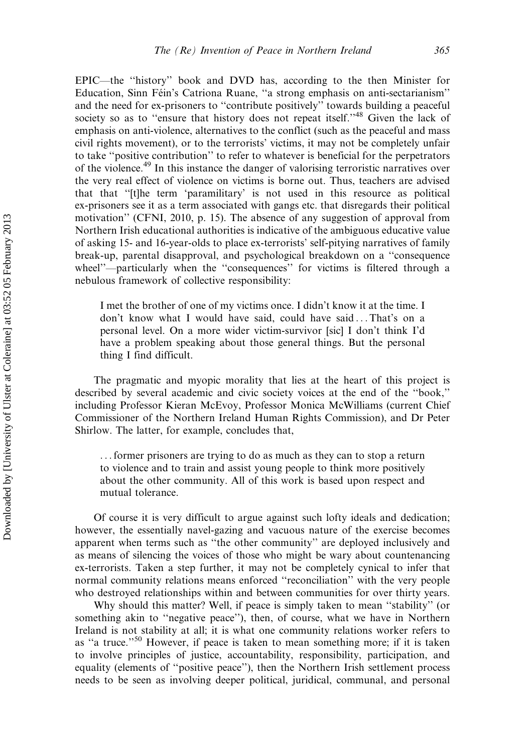EPIC—the ''history'' book and DVD has, according to the then Minister for Education, Sinn Féin's Catriona Ruane, "a strong emphasis on anti-sectarianism" and the need for ex-prisoners to ''contribute positively'' towards building a peaceful society so as to "ensure that history does not repeat itself."<sup>48</sup> Given the lack of emphasis on anti-violence, alternatives to the conflict (such as the peaceful and mass civil rights movement), or to the terrorists' victims, it may not be completely unfair to take ''positive contribution'' to refer to whatever is beneficial for the perpetrators of the violence.49 In this instance the danger of valorising terroristic narratives over the very real effect of violence on victims is borne out. Thus, teachers are advised that that ''[t]he term 'paramilitary' is not used in this resource as political ex-prisoners see it as a term associated with gangs etc. that disregards their political motivation'' (CFNI, 2010, p. 15). The absence of any suggestion of approval from Northern Irish educational authorities is indicative of the ambiguous educative value of asking 15- and 16-year-olds to place ex-terrorists' self-pitying narratives of family break-up, parental disapproval, and psychological breakdown on a ''consequence wheel"—particularly when the "consequences" for victims is filtered through a nebulous framework of collective responsibility:

I met the brother of one of my victims once. I didn't know it at the time. I don't know what I would have said, could have said ... That's on a personal level. On a more wider victim-survivor [sic] I don't think I'd have a problem speaking about those general things. But the personal thing I find difficult.

The pragmatic and myopic morality that lies at the heart of this project is described by several academic and civic society voices at the end of the ''book,'' including Professor Kieran McEvoy, Professor Monica McWilliams (current Chief Commissioner of the Northern Ireland Human Rights Commission), and Dr Peter Shirlow. The latter, for example, concludes that,

... former prisoners are trying to do as much as they can to stop a return to violence and to train and assist young people to think more positively about the other community. All of this work is based upon respect and mutual tolerance.

Of course it is very difficult to argue against such lofty ideals and dedication; however, the essentially navel-gazing and vacuous nature of the exercise becomes apparent when terms such as ''the other community'' are deployed inclusively and as means of silencing the voices of those who might be wary about countenancing ex-terrorists. Taken a step further, it may not be completely cynical to infer that normal community relations means enforced ''reconciliation'' with the very people who destroyed relationships within and between communities for over thirty years.

Why should this matter? Well, if peace is simply taken to mean ''stability'' (or something akin to "negative peace"), then, of course, what we have in Northern Ireland is not stability at all; it is what one community relations worker refers to as "a truce."<sup>50</sup> However, if peace is taken to mean something more; if it is taken to involve principles of justice, accountability, responsibility, participation, and equality (elements of ''positive peace''), then the Northern Irish settlement process needs to be seen as involving deeper political, juridical, communal, and personal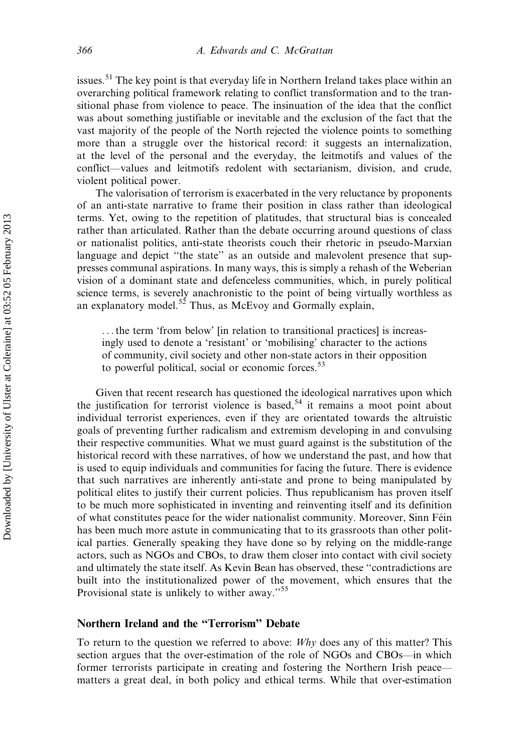issues.<sup>51</sup> The key point is that everyday life in Northern Ireland takes place within an overarching political framework relating to conflict transformation and to the transitional phase from violence to peace. The insinuation of the idea that the conflict was about something justifiable or inevitable and the exclusion of the fact that the vast majority of the people of the North rejected the violence points to something more than a struggle over the historical record: it suggests an internalization, at the level of the personal and the everyday, the leitmotifs and values of the conflict—values and leitmotifs redolent with sectarianism, division, and crude, violent political power.

The valorisation of terrorism is exacerbated in the very reluctance by proponents of an anti-state narrative to frame their position in class rather than ideological terms. Yet, owing to the repetition of platitudes, that structural bias is concealed rather than articulated. Rather than the debate occurring around questions of class or nationalist politics, anti-state theorists couch their rhetoric in pseudo-Marxian language and depict ''the state'' as an outside and malevolent presence that suppresses communal aspirations. In many ways, this is simply a rehash of the Weberian vision of a dominant state and defenceless communities, which, in purely political science terms, is severely anachronistic to the point of being virtually worthless as an explanatory model.<sup>52</sup> Thus, as McEvoy and Gormally explain,

... the term 'from below' [in relation to transitional practices] is increasingly used to denote a 'resistant' or 'mobilising' character to the actions of community, civil society and other non-state actors in their opposition to powerful political, social or economic forces.<sup>53</sup>

Given that recent research has questioned the ideological narratives upon which the justification for terrorist violence is based,<sup>54</sup> it remains a moot point about individual terrorist experiences, even if they are orientated towards the altruistic goals of preventing further radicalism and extremism developing in and convulsing their respective communities. What we must guard against is the substitution of the historical record with these narratives, of how we understand the past, and how that is used to equip individuals and communities for facing the future. There is evidence that such narratives are inherently anti-state and prone to being manipulated by political elites to justify their current policies. Thus republicanism has proven itself to be much more sophisticated in inventing and reinventing itself and its definition of what constitutes peace for the wider nationalist community. Moreover, Sinn Féin has been much more astute in communicating that to its grassroots than other political parties. Generally speaking they have done so by relying on the middle-range actors, such as NGOs and CBOs, to draw them closer into contact with civil society and ultimately the state itself. As Kevin Bean has observed, these ''contradictions are built into the institutionalized power of the movement, which ensures that the Provisional state is unlikely to wither away."<sup>55</sup>

#### Northern Ireland and the ''Terrorism'' Debate

To return to the question we referred to above: Why does any of this matter? This section argues that the over-estimation of the role of NGOs and CBOs—in which former terrorists participate in creating and fostering the Northern Irish peace matters a great deal, in both policy and ethical terms. While that over-estimation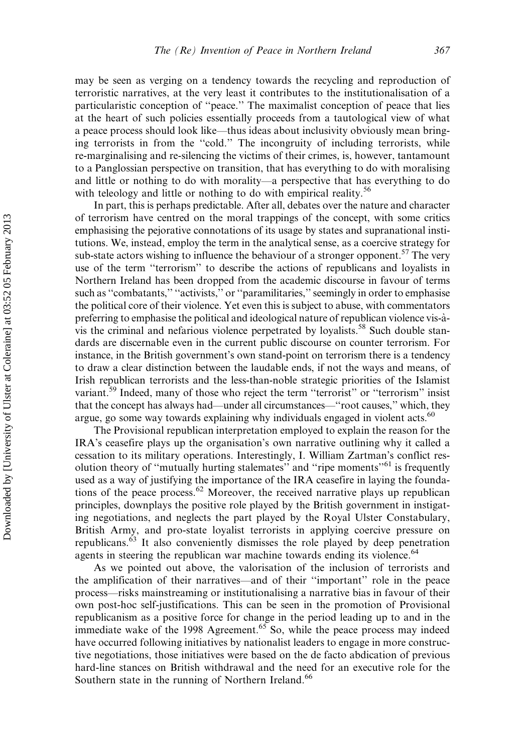may be seen as verging on a tendency towards the recycling and reproduction of terroristic narratives, at the very least it contributes to the institutionalisation of a particularistic conception of ''peace.'' The maximalist conception of peace that lies at the heart of such policies essentially proceeds from a tautological view of what a peace process should look like—thus ideas about inclusivity obviously mean bringing terrorists in from the ''cold.'' The incongruity of including terrorists, while re-marginalising and re-silencing the victims of their crimes, is, however, tantamount to a Panglossian perspective on transition, that has everything to do with moralising and little or nothing to do with morality—a perspective that has everything to do with teleology and little or nothing to do with empirical reality.<sup>56</sup>

In part, this is perhaps predictable. After all, debates over the nature and character of terrorism have centred on the moral trappings of the concept, with some critics emphasising the pejorative connotations of its usage by states and supranational institutions. We, instead, employ the term in the analytical sense, as a coercive strategy for sub-state actors wishing to influence the behaviour of a stronger opponent.<sup>57</sup> The very use of the term ''terrorism'' to describe the actions of republicans and loyalists in Northern Ireland has been dropped from the academic discourse in favour of terms such as "combatants," "activists," or "paramilitaries," seemingly in order to emphasise the political core of their violence. Yet even this is subject to abuse, with commentators preferring to emphasise the political and ideological nature of republican violence vis-àvis the criminal and nefarious violence perpetrated by loyalists.58 Such double standards are discernable even in the current public discourse on counter terrorism. For instance, in the British government's own stand-point on terrorism there is a tendency to draw a clear distinction between the laudable ends, if not the ways and means, of Irish republican terrorists and the less-than-noble strategic priorities of the Islamist variant.<sup>59</sup> Indeed, many of those who reject the term "terrorist" or "terrorism" insist that the concept has always had—under all circumstances—''root causes,'' which, they argue, go some way towards explaining why individuals engaged in violent acts.<sup>60</sup>

The Provisional republican interpretation employed to explain the reason for the IRA's ceasefire plays up the organisation's own narrative outlining why it called a cessation to its military operations. Interestingly, I. William Zartman's conflict resolution theory of "mutually hurting stalemates" and "ripe moments"<sup>61</sup> is frequently used as a way of justifying the importance of the IRA ceasefire in laying the foundations of the peace process.<sup>62</sup> Moreover, the received narrative plays up republican principles, downplays the positive role played by the British government in instigating negotiations, and neglects the part played by the Royal Ulster Constabulary, British Army, and pro-state loyalist terrorists in applying coercive pressure on republicans.<sup>63</sup> It also conveniently dismisses the role played by deep penetration agents in steering the republican war machine towards ending its violence.<sup>64</sup>

As we pointed out above, the valorisation of the inclusion of terrorists and the amplification of their narratives—and of their ''important'' role in the peace process—risks mainstreaming or institutionalising a narrative bias in favour of their own post-hoc self-justifications. This can be seen in the promotion of Provisional republicanism as a positive force for change in the period leading up to and in the immediate wake of the 1998 Agreement.<sup>65</sup> So, while the peace process may indeed have occurred following initiatives by nationalist leaders to engage in more constructive negotiations, those initiatives were based on the de facto abdication of previous hard-line stances on British withdrawal and the need for an executive role for the Southern state in the running of Northern Ireland.<sup>66</sup>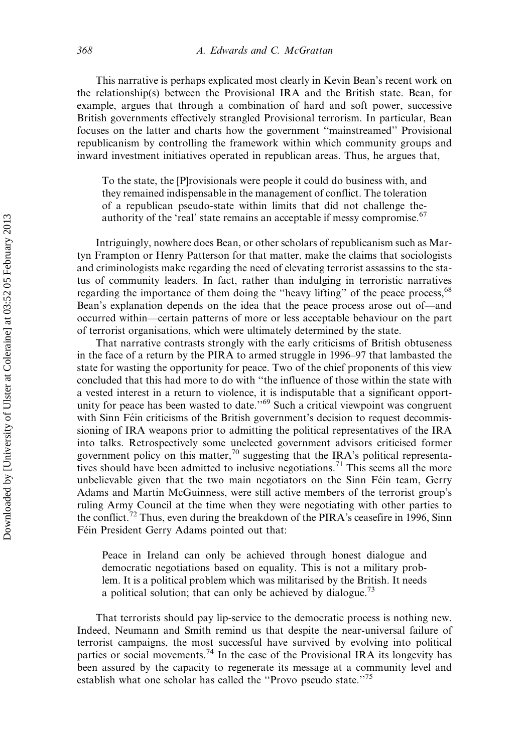This narrative is perhaps explicated most clearly in Kevin Bean's recent work on the relationship(s) between the Provisional IRA and the British state. Bean, for example, argues that through a combination of hard and soft power, successive British governments effectively strangled Provisional terrorism. In particular, Bean focuses on the latter and charts how the government ''mainstreamed'' Provisional republicanism by controlling the framework within which community groups and inward investment initiatives operated in republican areas. Thus, he argues that,

To the state, the [P]rovisionals were people it could do business with, and they remained indispensable in the management of conflict. The toleration of a republican pseudo-state within limits that did not challenge theauthority of the 'real' state remains an acceptable if messy compromise.<sup>67</sup>

Intriguingly, nowhere does Bean, or other scholars of republicanism such as Martyn Frampton or Henry Patterson for that matter, make the claims that sociologists and criminologists make regarding the need of elevating terrorist assassins to the status of community leaders. In fact, rather than indulging in terroristic narratives regarding the importance of them doing the "heavy lifting" of the peace process,<sup>68</sup> Bean's explanation depends on the idea that the peace process arose out of—and occurred within—certain patterns of more or less acceptable behaviour on the part of terrorist organisations, which were ultimately determined by the state.

That narrative contrasts strongly with the early criticisms of British obtuseness in the face of a return by the PIRA to armed struggle in 1996–97 that lambasted the state for wasting the opportunity for peace. Two of the chief proponents of this view concluded that this had more to do with ''the influence of those within the state with a vested interest in a return to violence, it is indisputable that a significant opportunity for peace has been wasted to date."<sup>69</sup> Such a critical viewpoint was congruent with Sinn Féin criticisms of the British government's decision to request decommissioning of IRA weapons prior to admitting the political representatives of the IRA into talks. Retrospectively some unelected government advisors criticised former government policy on this matter,<sup>70</sup> suggesting that the IRA's political representatives should have been admitted to inclusive negotiations.<sup>71</sup> This seems all the more unbelievable given that the two main negotiators on the Sinn Féin team, Gerry Adams and Martin McGuinness, were still active members of the terrorist group's ruling Army Council at the time when they were negotiating with other parties to the conflict.<sup>72</sup> Thus, even during the breakdown of the PIRA's ceasefire in 1996, Sinn Féin President Gerry Adams pointed out that:

Peace in Ireland can only be achieved through honest dialogue and democratic negotiations based on equality. This is not a military problem. It is a political problem which was militarised by the British. It needs a political solution; that can only be achieved by dialogue.<sup>73</sup>

That terrorists should pay lip-service to the democratic process is nothing new. Indeed, Neumann and Smith remind us that despite the near-universal failure of terrorist campaigns, the most successful have survived by evolving into political parties or social movements.<sup>74</sup> In the case of the Provisional IRA its longevity has been assured by the capacity to regenerate its message at a community level and establish what one scholar has called the "Provo pseudo state."<sup>75</sup>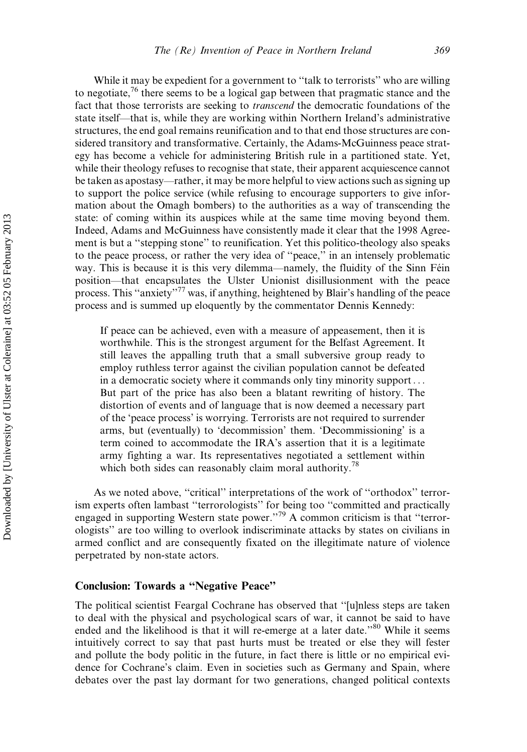While it may be expedient for a government to "talk to terrorists" who are willing to negotiate,76 there seems to be a logical gap between that pragmatic stance and the fact that those terrorists are seeking to transcend the democratic foundations of the state itself—that is, while they are working within Northern Ireland's administrative structures, the end goal remains reunification and to that end those structures are considered transitory and transformative. Certainly, the Adams-McGuinness peace strategy has become a vehicle for administering British rule in a partitioned state. Yet, while their theology refuses to recognise that state, their apparent acquiescence cannot be taken as apostasy—rather, it may be more helpful to view actions such as signing up to support the police service (while refusing to encourage supporters to give information about the Omagh bombers) to the authorities as a way of transcending the state: of coming within its auspices while at the same time moving beyond them. Indeed, Adams and McGuinness have consistently made it clear that the 1998 Agreement is but a ''stepping stone'' to reunification. Yet this politico-theology also speaks to the peace process, or rather the very idea of ''peace,'' in an intensely problematic way. This is because it is this very dilemma—namely, the fluidity of the Sinn Féin position—that encapsulates the Ulster Unionist disillusionment with the peace process. This "anxiety"<sup>77</sup> was, if anything, heightened by Blair's handling of the peace process and is summed up eloquently by the commentator Dennis Kennedy:

If peace can be achieved, even with a measure of appeasement, then it is worthwhile. This is the strongest argument for the Belfast Agreement. It still leaves the appalling truth that a small subversive group ready to employ ruthless terror against the civilian population cannot be defeated in a democratic society where it commands only tiny minority support ... But part of the price has also been a blatant rewriting of history. The distortion of events and of language that is now deemed a necessary part of the 'peace process' is worrying. Terrorists are not required to surrender arms, but (eventually) to 'decommission' them. 'Decommissioning' is a term coined to accommodate the IRA's assertion that it is a legitimate army fighting a war. Its representatives negotiated a settlement within which both sides can reasonably claim moral authority.<sup>78</sup>

As we noted above, "critical" interpretations of the work of "orthodox" terrorism experts often lambast ''terrorologists'' for being too ''committed and practically engaged in supporting Western state power."<sup>79</sup> A common criticism is that "terrorologists'' are too willing to overlook indiscriminate attacks by states on civilians in armed conflict and are consequently fixated on the illegitimate nature of violence perpetrated by non-state actors.

#### Conclusion: Towards a ''Negative Peace''

The political scientist Feargal Cochrane has observed that ''[u]nless steps are taken to deal with the physical and psychological scars of war, it cannot be said to have ended and the likelihood is that it will re-emerge at a later date."<sup>80</sup> While it seems intuitively correct to say that past hurts must be treated or else they will fester and pollute the body politic in the future, in fact there is little or no empirical evidence for Cochrane's claim. Even in societies such as Germany and Spain, where debates over the past lay dormant for two generations, changed political contexts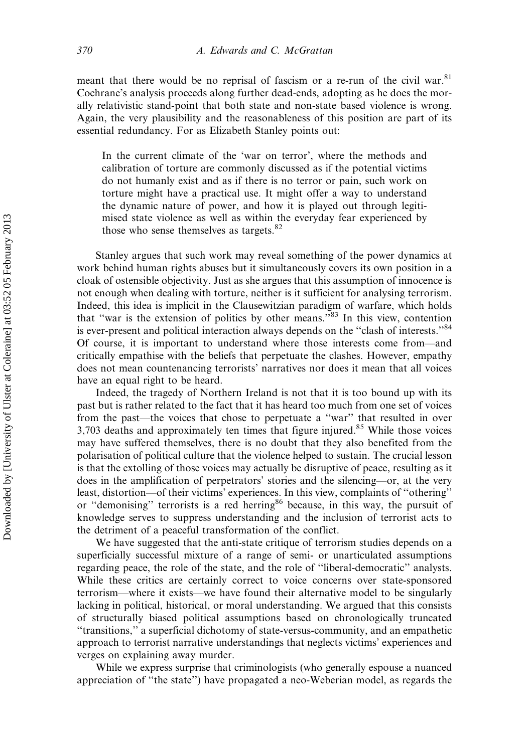meant that there would be no reprisal of fascism or a re-run of the civil war.<sup>81</sup> Cochrane's analysis proceeds along further dead-ends, adopting as he does the morally relativistic stand-point that both state and non-state based violence is wrong. Again, the very plausibility and the reasonableness of this position are part of its essential redundancy. For as Elizabeth Stanley points out:

In the current climate of the 'war on terror', where the methods and calibration of torture are commonly discussed as if the potential victims do not humanly exist and as if there is no terror or pain, such work on torture might have a practical use. It might offer a way to understand the dynamic nature of power, and how it is played out through legitimised state violence as well as within the everyday fear experienced by those who sense themselves as targets.<sup>82</sup>

Stanley argues that such work may reveal something of the power dynamics at work behind human rights abuses but it simultaneously covers its own position in a cloak of ostensible objectivity. Just as she argues that this assumption of innocence is not enough when dealing with torture, neither is it sufficient for analysing terrorism. Indeed, this idea is implicit in the Clausewitzian paradigm of warfare, which holds that ''war is the extension of politics by other means.''<sup>83</sup> In this view, contention is ever-present and political interaction always depends on the "clash of interests."<sup>84</sup> Of course, it is important to understand where those interests come from—and critically empathise with the beliefs that perpetuate the clashes. However, empathy does not mean countenancing terrorists' narratives nor does it mean that all voices have an equal right to be heard.

Indeed, the tragedy of Northern Ireland is not that it is too bound up with its past but is rather related to the fact that it has heard too much from one set of voices from the past—the voices that chose to perpetuate a ''war'' that resulted in over 3,703 deaths and approximately ten times that figure injured. $85$  While those voices may have suffered themselves, there is no doubt that they also benefited from the polarisation of political culture that the violence helped to sustain. The crucial lesson is that the extolling of those voices may actually be disruptive of peace, resulting as it does in the amplification of perpetrators' stories and the silencing—or, at the very least, distortion—of their victims' experiences. In this view, complaints of ''othering'' or "demonising" terrorists is a red herring<sup>86</sup> because, in this way, the pursuit of knowledge serves to suppress understanding and the inclusion of terrorist acts to the detriment of a peaceful transformation of the conflict.

We have suggested that the anti-state critique of terrorism studies depends on a superficially successful mixture of a range of semi- or unarticulated assumptions regarding peace, the role of the state, and the role of ''liberal-democratic'' analysts. While these critics are certainly correct to voice concerns over state-sponsored terrorism—where it exists—we have found their alternative model to be singularly lacking in political, historical, or moral understanding. We argued that this consists of structurally biased political assumptions based on chronologically truncated ''transitions,'' a superficial dichotomy of state-versus-community, and an empathetic approach to terrorist narrative understandings that neglects victims' experiences and verges on explaining away murder.

While we express surprise that criminologists (who generally espouse a nuanced appreciation of ''the state'') have propagated a neo-Weberian model, as regards the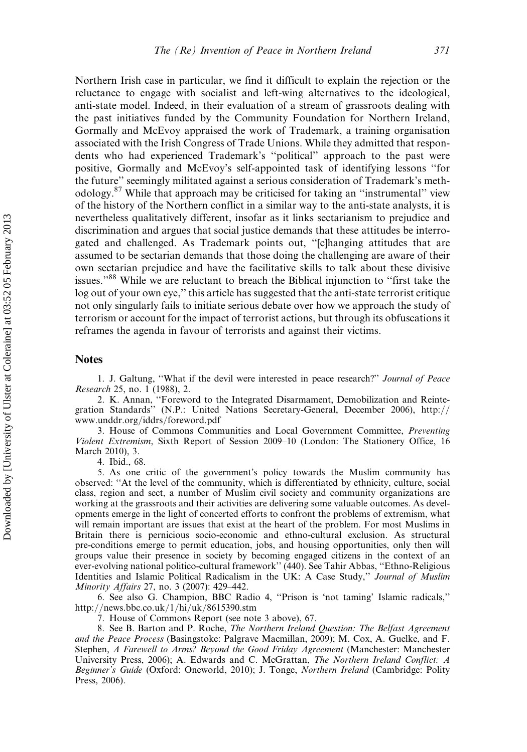Northern Irish case in particular, we find it difficult to explain the rejection or the reluctance to engage with socialist and left-wing alternatives to the ideological, anti-state model. Indeed, in their evaluation of a stream of grassroots dealing with the past initiatives funded by the Community Foundation for Northern Ireland, Gormally and McEvoy appraised the work of Trademark, a training organisation associated with the Irish Congress of Trade Unions. While they admitted that respondents who had experienced Trademark's ''political'' approach to the past were positive, Gormally and McEvoy's self-appointed task of identifying lessons ''for the future'' seemingly militated against a serious consideration of Trademark's methodology.<sup>87</sup> While that approach may be criticised for taking an ''instrumental'' view of the history of the Northern conflict in a similar way to the anti-state analysts, it is nevertheless qualitatively different, insofar as it links sectarianism to prejudice and discrimination and argues that social justice demands that these attitudes be interrogated and challenged. As Trademark points out, ''[c]hanging attitudes that are assumed to be sectarian demands that those doing the challenging are aware of their own sectarian prejudice and have the facilitative skills to talk about these divisive issues."<sup>88</sup> While we are reluctant to breach the Biblical injunction to "first take the log out of your own eye,'' this article has suggested that the anti-state terrorist critique not only singularly fails to initiate serious debate over how we approach the study of terrorism or account for the impact of terrorist actions, but through its obfuscations it reframes the agenda in favour of terrorists and against their victims.

#### Notes

1. J. Galtung, ''What if the devil were interested in peace research?'' Journal of Peace Research 25, no. 1 (1988), 2.

2. K. Annan, ''Foreword to the Integrated Disarmament, Demobilization and Reintegration Standards'' (N.P.: United Nations Secretary-General, December 2006), http:// www.unddr.org/iddrs/foreword.pdf

3. House of Commons Communities and Local Government Committee, Preventing Violent Extremism, Sixth Report of Session 2009–10 (London: The Stationery Office, 16 March 2010), 3.

4. Ibid., 68.

5. As one critic of the government's policy towards the Muslim community has observed: ''At the level of the community, which is differentiated by ethnicity, culture, social class, region and sect, a number of Muslim civil society and community organizations are working at the grassroots and their activities are delivering some valuable outcomes. As developments emerge in the light of concerted efforts to confront the problems of extremism, what will remain important are issues that exist at the heart of the problem. For most Muslims in Britain there is pernicious socio-economic and ethno-cultural exclusion. As structural pre-conditions emerge to permit education, jobs, and housing opportunities, only then will groups value their presence in society by becoming engaged citizens in the context of an ever-evolving national politico-cultural framework'' (440). See Tahir Abbas, ''Ethno-Religious Identities and Islamic Political Radicalism in the UK: A Case Study,'' Journal of Muslim Minority Affairs 27, no. 3 (2007): 429–442.

6. See also G. Champion, BBC Radio 4, ''Prison is 'not taming' Islamic radicals,'' http://news.bbc.co.uk/1/hi/uk/8615390.stm

7. House of Commons Report (see note 3 above), 67.

8. See B. Barton and P. Roche, The Northern Ireland Question: The Belfast Agreement and the Peace Process (Basingstoke: Palgrave Macmillan, 2009); M. Cox, A. Guelke, and F. Stephen, A Farewell to Arms? Beyond the Good Friday Agreement (Manchester: Manchester University Press, 2006); A. Edwards and C. McGrattan, The Northern Ireland Conflict: A Beginner's Guide (Oxford: Oneworld, 2010); J. Tonge, Northern Ireland (Cambridge: Polity Press, 2006).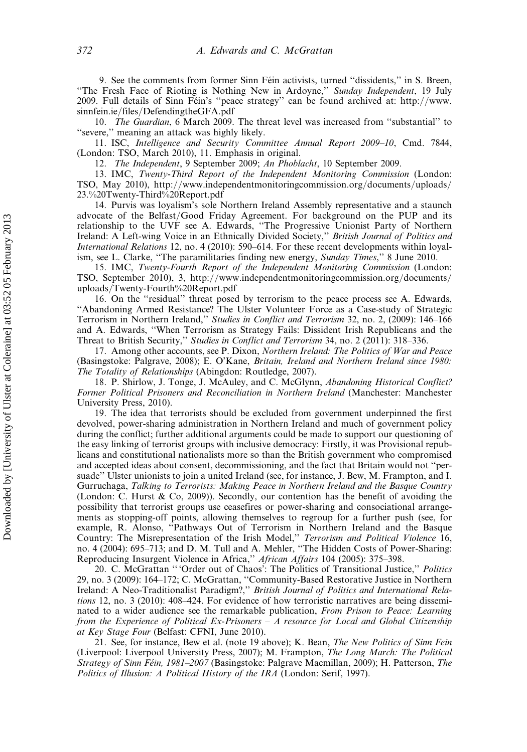9. See the comments from former Sinn Féin activists, turned "dissidents," in S. Breen, "The Fresh Face of Rioting is Nothing New in Ardoyne," Sunday Independent, 19 July 2009. Full details of Sinn Féin's "peace strategy" can be found archived at: http://www. sinnfein.ie/files/DefendingtheGFA.pdf

10. The Guardian, 6 March 2009. The threat level was increased from ''substantial'' to ''severe,'' meaning an attack was highly likely.

11. ISC, Intelligence and Security Committee Annual Report 2009–10, Cmd. 7844, (London: TSO, March 2010), 11. Emphasis in original.

12. The Independent, 9 September 2009; An Phoblacht, 10 September 2009.

13. IMC, Twenty-Third Report of the Independent Monitoring Commission (London: TSO, May 2010), http://www.independentmonitoringcommission.org/documents/uploads/ 23.%20Twenty-Third%20Report.pdf

14. Purvis was loyalism's sole Northern Ireland Assembly representative and a staunch advocate of the Belfast/Good Friday Agreement. For background on the PUP and its relationship to the UVF see A. Edwards, ''The Progressive Unionist Party of Northern Ireland: A Left-wing Voice in an Ethnically Divided Society,'' British Journal of Politics and International Relations 12, no. 4 (2010): 590–614. For these recent developments within loyalism, see L. Clarke, ''The paramilitaries finding new energy, Sunday Times,'' 8 June 2010.

15. IMC, Twenty-Fourth Report of the Independent Monitoring Commission (London: TSO, September 2010), 3, http://www.independentmonitoringcommission.org/documents/ uploads/Twenty-Fourth%20Report.pdf

16. On the ''residual'' threat posed by terrorism to the peace process see A. Edwards, ''Abandoning Armed Resistance? The Ulster Volunteer Force as a Case-study of Strategic Terrorism in Northern Ireland,'' Studies in Conflict and Terrorism 32, no. 2, (2009): 146–166 and A. Edwards, ''When Terrorism as Strategy Fails: Dissident Irish Republicans and the Threat to British Security,'' Studies in Conflict and Terrorism 34, no. 2 (2011): 318–336.

17. Among other accounts, see P. Dixon, Northern Ireland: The Politics of War and Peace (Basingstoke: Palgrave, 2008); E. O'Kane, Britain, Ireland and Northern Ireland since 1980: The Totality of Relationships (Abingdon: Routledge, 2007).

18. P. Shirlow, J. Tonge, J. McAuley, and C. McGlynn, Abandoning Historical Conflict? Former Political Prisoners and Reconciliation in Northern Ireland (Manchester: Manchester University Press, 2010).

19. The idea that terrorists should be excluded from government underpinned the first devolved, power-sharing administration in Northern Ireland and much of government policy during the conflict; further additional arguments could be made to support our questioning of the easy linking of terrorist groups with inclusive democracy: Firstly, it was Provisional republicans and constitutional nationalists more so than the British government who compromised and accepted ideas about consent, decommissioning, and the fact that Britain would not ''persuade'' Ulster unionists to join a united Ireland (see, for instance, J. Bew, M. Frampton, and I. Gurruchaga, Talking to Terrorists: Making Peace in Northern Ireland and the Basque Country (London: C. Hurst  $\&$  Co, 2009)). Secondly, our contention has the benefit of avoiding the possibility that terrorist groups use ceasefires or power-sharing and consociational arrangements as stopping-off points, allowing themselves to regroup for a further push (see, for example, R. Alonso, ''Pathways Out of Terrorism in Northern Ireland and the Basque Country: The Misrepresentation of the Irish Model,'' Terrorism and Political Violence 16, no. 4 (2004): 695–713; and D. M. Tull and A. Mehler, ''The Hidden Costs of Power-Sharing: Reproducing Insurgent Violence in Africa,'' African Affairs 104 (2005): 375–398.

20. C. McGrattan '' 'Order out of Chaos': The Politics of Transitional Justice,'' Politics 29, no. 3 (2009): 164–172; C. McGrattan, ''Community-Based Restorative Justice in Northern Ireland: A Neo-Traditionalist Paradigm?,'' British Journal of Politics and International Relations 12, no. 3 (2010): 408–424. For evidence of how terroristic narratives are being disseminated to a wider audience see the remarkable publication, From Prison to Peace: Learning from the Experience of Political Ex-Prisoners – A resource for Local and Global Citizenship at Key Stage Four (Belfast: CFNI, June 2010).

21. See, for instance, Bew et al. (note 19 above); K. Bean, The New Politics of Sinn Fein (Liverpool: Liverpool University Press, 2007); M. Frampton, The Long March: The Political Strategy of Sinn Féin, 1981–2007 (Basingstoke: Palgrave Macmillan, 2009); H. Patterson, The Politics of Illusion: A Political History of the IRA (London: Serif, 1997).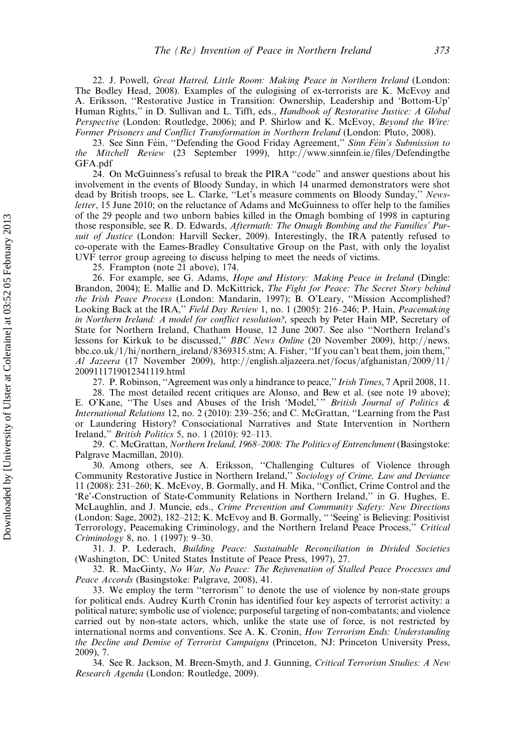22. J. Powell, Great Hatred, Little Room: Making Peace in Northern Ireland (London: The Bodley Head, 2008). Examples of the eulogising of ex-terrorists are K. McEvoy and A. Eriksson, ''Restorative Justice in Transition: Ownership, Leadership and 'Bottom-Up' Human Rights," in D. Sullivan and L. Tifft, eds., *Handbook of Restorative Justice: A Global* Perspective (London: Routledge, 2006); and P. Shirlow and K. McEvoy, *Beyond the Wire:* Former Prisoners and Conflict Transformation in Northern Ireland (London: Pluto, 2008).

23. See Sinn Féin, "Defending the Good Friday Agreement," Sinn Féin's Submission to the Mitchell Review (23 September 1999), http://www.sinnfein.ie/files/Defendingthe GFA.pdf

24. On McGuinness's refusal to break the PIRA ''code'' and answer questions about his involvement in the events of Bloody Sunday, in which 14 unarmed demonstrators were shot dead by British troops, see L. Clarke, "Let's measure comments on Bloody Sunday," Newsletter, 15 June 2010; on the reluctance of Adams and McGuinness to offer help to the families of the 29 people and two unborn babies killed in the Omagh bombing of 1998 in capturing those responsible, see R. D. Edwards, Aftermath: The Omagh Bombing and the Families' Pursuit of Justice (London: Harvill Secker, 2009). Interestingly, the IRA patently refused to co-operate with the Eames-Bradley Consultative Group on the Past, with only the loyalist UVF terror group agreeing to discuss helping to meet the needs of victims.

25. Frampton (note 21 above), 174.

26. For example, see G. Adams, Hope and History: Making Peace in Ireland (Dingle: Brandon, 2004); E. Mallie and D. McKittrick, The Fight for Peace: The Secret Story behind the Irish Peace Process (London: Mandarin, 1997); B. O'Leary, "Mission Accomplished? Looking Back at the IRA,'' Field Day Review 1, no. 1 (2005): 216–246; P. Hain, Peacemaking in Northern Ireland: A model for conflict resolution?, speech by Peter Hain MP, Secretary of State for Northern Ireland, Chatham House, 12 June 2007. See also ''Northern Ireland's lessons for Kirkuk to be discussed,'' BBC News Online (20 November 2009), http://news. bbc.co.uk/1/hi/northern\_ireland/8369315.stm; A. Fisher, "If you can't beat them, join them,' Al Jazeera (17 November 2009), http://english.aljazeera.net/focus/afghanistan/2009/11/ 2009111719012341119.html

27. P. Robinson, "Agreement was only a hindrance to peace," Irish Times, 7 April 2008, 11.

28. The most detailed recent critiques are Alonso, and Bew et al. (see note 19 above); E. O'Kane, "The Uses and Abuses of the Irish 'Model,'" British Journal of Politics & International Relations 12, no. 2 (2010): 239–256; and C. McGrattan, ''Learning from the Past or Laundering History? Consociational Narratives and State Intervention in Northern Ireland,'' British Politics 5, no. 1 (2010): 92–113.

29. C. McGrattan, Northern Ireland, 1968–2008: The Politics of Entrenchment (Basingstoke: Palgrave Macmillan, 2010).

30. Among others, see A. Eriksson, ''Challenging Cultures of Violence through Community Restorative Justice in Northern Ireland,'' Sociology of Crime, Law and Deviance 11 (2008): 231–260; K. McEvoy, B. Gormally, and H. Mika, ''Conflict, Crime Control and the 'Re'-Construction of State-Community Relations in Northern Ireland,'' in G. Hughes, E. McLaughlin, and J. Muncie, eds., Crime Prevention and Community Safety: New Directions (London: Sage, 2002), 182–212; K. McEvoy and B. Gormally, '' 'Seeing' is Believing: Positivist Terrorology, Peacemaking Criminology, and the Northern Ireland Peace Process,'' Critical Criminology 8, no. 1 (1997): 9–30.

31. J. P. Lederach, Building Peace: Sustainable Reconciliation in Divided Societies (Washington, DC: United States Institute of Peace Press, 1997), 27.

32. R. MacGinty, No War, No Peace: The Rejuvenation of Stalled Peace Processes and Peace Accords (Basingstoke: Palgrave, 2008), 41.

33. We employ the term ''terrorism'' to denote the use of violence by non-state groups for political ends. Audrey Kurth Cronin has identified four key aspects of terrorist activity: a political nature; symbolic use of violence; purposeful targeting of non-combatants; and violence carried out by non-state actors, which, unlike the state use of force, is not restricted by international norms and conventions. See A. K. Cronin, How Terrorism Ends: Understanding the Decline and Demise of Terrorist Campaigns (Princeton, NJ: Princeton University Press, 2009), 7.

34. See R. Jackson, M. Breen-Smyth, and J. Gunning, Critical Terrorism Studies: A New Research Agenda (London: Routledge, 2009).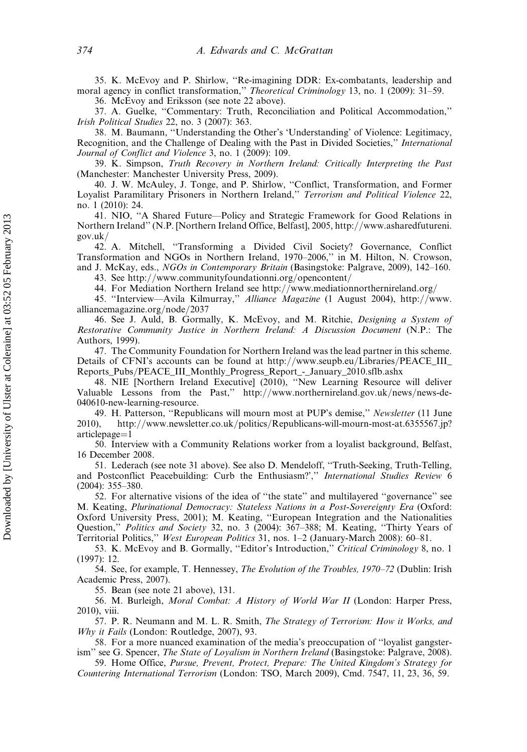35. K. McEvoy and P. Shirlow, ''Re-imagining DDR: Ex-combatants, leadership and moral agency in conflict transformation,'' Theoretical Criminology 13, no. 1 (2009): 31–59.

36. McEvoy and Eriksson (see note 22 above).

37. A. Guelke, ''Commentary: Truth, Reconciliation and Political Accommodation,'' Irish Political Studies 22, no. 3 (2007): 363.

38. M. Baumann, ''Understanding the Other's 'Understanding' of Violence: Legitimacy, Recognition, and the Challenge of Dealing with the Past in Divided Societies,'' International Journal of Conflict and Violence 3, no. 1 (2009): 109.

39. K. Simpson, Truth Recovery in Northern Ireland: Critically Interpreting the Past (Manchester: Manchester University Press, 2009).

40. J. W. McAuley, J. Tonge, and P. Shirlow, ''Conflict, Transformation, and Former Loyalist Paramilitary Prisoners in Northern Ireland,'' Terrorism and Political Violence 22, no. 1 (2010): 24.

41. NIO, ''A Shared Future—Policy and Strategic Framework for Good Relations in Northern Ireland'' (N.P. [Northern Ireland Office, Belfast], 2005, http://www.asharedfutureni. gov.uk/

42. A. Mitchell, ''Transforming a Divided Civil Society? Governance, Conflict Transformation and NGOs in Northern Ireland, 1970–2006,'' in M. Hilton, N. Crowson, and J. McKay, eds., NGOs in Contemporary Britain (Basingstoke: Palgrave, 2009), 142–160.

43. See http://www.communityfoundationni.org/opencontent/

44. For Mediation Northern Ireland see http://www.mediationnorthernireland.org/

45. ''Interview—Avila Kilmurray,'' Alliance Magazine (1 August 2004), http://www. alliancemagazine.org/node/2037

46. See J. Auld, B. Gormally, K. McEvoy, and M. Ritchie, Designing a System of Restorative Community Justice in Northern Ireland: A Discussion Document (N.P.: The Authors, 1999).

47. The Community Foundation for Northern Ireland was the lead partner in this scheme. Details of CFNI's accounts can be found at http://www.seupb.eu/Libraries/PEACE\_III\_ Reports\_Pubs/PEACE\_III\_Monthly\_Progress\_Report\_-\_January\_2010.sflb.ashx

48. NIE [Northern Ireland Executive] (2010), ''New Learning Resource will deliver Valuable Lessons from the Past,'' http://www.northernireland.gov.uk/news/news-de-040610-new-learning-resource.

49. H. Patterson, "Republicans will mourn most at PUP's demise," Newsletter (11 June 2010), http://www.newsletter.co.uk/politics/Republicans-will-mourn-most-at.6355567.jp? articlepage=1

50. Interview with a Community Relations worker from a loyalist background, Belfast, 16 December 2008.

51. Lederach (see note 31 above). See also D. Mendeloff, ''Truth-Seeking, Truth-Telling, and Postconflict Peacebuilding: Curb the Enthusiasm?','' International Studies Review 6 (2004): 355–380.

52. For alternative visions of the idea of ''the state'' and multilayered ''governance'' see M. Keating, Plurinational Democracy: Stateless Nations in a Post-Sovereignty Era (Oxford: Oxford University Press, 2001); M. Keating, ''European Integration and the Nationalities Question," Politics and Society 32, no. 3 (2004): 367-388; M. Keating, "Thirty Years of Territorial Politics,'' West European Politics 31, nos. 1–2 (January-March 2008): 60–81.

53. K. McEvoy and B. Gormally, "Editor's Introduction," Critical Criminology 8, no. 1 (1997): 12.

54. See, for example, T. Hennessey, The Evolution of the Troubles, 1970–72 (Dublin: Irish Academic Press, 2007).

55. Bean (see note 21 above), 131.

56. M. Burleigh, Moral Combat: A History of World War II (London: Harper Press, 2010), viii.

57. P. R. Neumann and M. L. R. Smith, The Strategy of Terrorism: How it Works, and Why it Fails (London: Routledge, 2007), 93.

58. For a more nuanced examination of the media's preoccupation of ''loyalist gangsterism'' see G. Spencer, The State of Loyalism in Northern Ireland (Basingstoke: Palgrave, 2008).

59. Home Office, Pursue, Prevent, Protect, Prepare: The United Kingdom's Strategy for Countering International Terrorism (London: TSO, March 2009), Cmd. 7547, 11, 23, 36, 59.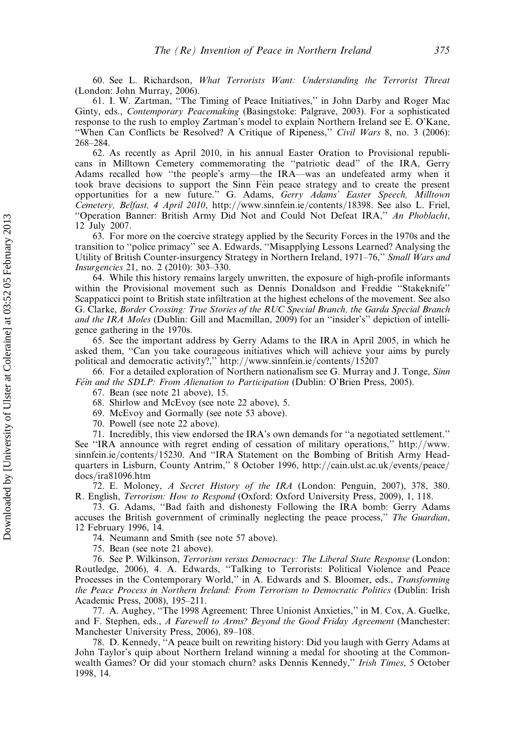60. See L. Richardson, What Terrorists Want: Understanding the Terrorist Threat (London: John Murray, 2006).

61. I. W. Zartman, ''The Timing of Peace Initiatives,'' in John Darby and Roger Mac Ginty, eds., Contemporary Peacemaking (Basingstoke: Palgrave, 2003). For a sophisticated response to the rush to employ Zartman's model to explain Northern Ireland see E. O'Kane, ''When Can Conflicts be Resolved? A Critique of Ripeness,'' Civil Wars 8, no. 3 (2006): 268–284.

62. As recently as April 2010, in his annual Easter Oration to Provisional republicans in Milltown Cemetery commemorating the ''patriotic dead'' of the IRA, Gerry Adams recalled how ''the people's army—the IRA—was an undefeated army when it took brave decisions to support the Sinn Féin peace strategy and to create the present opportunities for a new future.'' G. Adams, Gerry Adams' Easter Speech, Milltown Cemetery, Belfast, 4 April 2010, http://www.sinnfein.ie/contents/18398. See also L. Friel, ''Operation Banner: British Army Did Not and Could Not Defeat IRA,'' An Phoblacht, 12 July 2007.

63. For more on the coercive strategy applied by the Security Forces in the 1970s and the transition to ''police primacy'' see A. Edwards, ''Misapplying Lessons Learned? Analysing the Utility of British Counter-insurgency Strategy in Northern Ireland, 1971–76," Small Wars and Insurgencies 21, no. 2 (2010): 303–330.

64. While this history remains largely unwritten, the exposure of high-profile informants within the Provisional movement such as Dennis Donaldson and Freddie ''Stakeknife'' Scappaticci point to British state infiltration at the highest echelons of the movement. See also G. Clarke, Border Crossing: True Stories of the RUC Special Branch, the Garda Special Branch and the IRA Moles (Dublin: Gill and Macmillan, 2009) for an "insider's" depiction of intelligence gathering in the 1970s.

65. See the important address by Gerry Adams to the IRA in April 2005, in which he asked them, "Can you take courageous initiatives which will achieve your aims by purely political and democratic activity?,'' http://www.sinnfein.ie/contents/15207

66. For a detailed exploration of Northern nationalism see G. Murray and J. Tonge, Sinn Féin and the SDLP: From Alienation to Participation (Dublin: O'Brien Press, 2005).

67. Bean (see note 21 above), 15.

68. Shirlow and McEvoy (see note 22 above), 5.

69. McEvoy and Gormally (see note 53 above).

70. Powell (see note 22 above).

71. Incredibly, this view endorsed the IRA's own demands for ''a negotiated settlement.'' See ''IRA announce with regret ending of cessation of military operations,'' http://www. sinnfein.ie/contents/15230. And ''IRA Statement on the Bombing of British Army Headquarters in Lisburn, County Antrim,'' 8 October 1996, http://cain.ulst.ac.uk/events/peace/ docs/ira81096.htm

72. E. Moloney, A Secret History of the IRA (London: Penguin, 2007), 378, 380. R. English, Terrorism: How to Respond (Oxford: Oxford University Press, 2009), 1, 118.

73. G. Adams, ''Bad faith and dishonesty Following the IRA bomb: Gerry Adams accuses the British government of criminally neglecting the peace process," The Guardian, 12 February 1996, 14.

74. Neumann and Smith (see note 57 above).

75. Bean (see note 21 above).

76. See P. Wilkinson, Terrorism versus Democracy: The Liberal State Response (London: Routledge, 2006), 4. A. Edwards, ''Talking to Terrorists: Political Violence and Peace Processes in the Contemporary World,'' in A. Edwards and S. Bloomer, eds., Transforming the Peace Process in Northern Ireland: From Terrorism to Democratic Politics (Dublin: Irish Academic Press, 2008), 195–211.

77. A. Aughey, ''The 1998 Agreement: Three Unionist Anxieties,'' in M. Cox, A. Guelke, and F. Stephen, eds., A Farewell to Arms? Beyond the Good Friday Agreement (Manchester: Manchester University Press, 2006), 89–108.

78. D. Kennedy, ''A peace built on rewriting history: Did you laugh with Gerry Adams at John Taylor's quip about Northern Ireland winning a medal for shooting at the Commonwealth Games? Or did your stomach churn? asks Dennis Kennedy,'' Irish Times, 5 October 1998, 14.